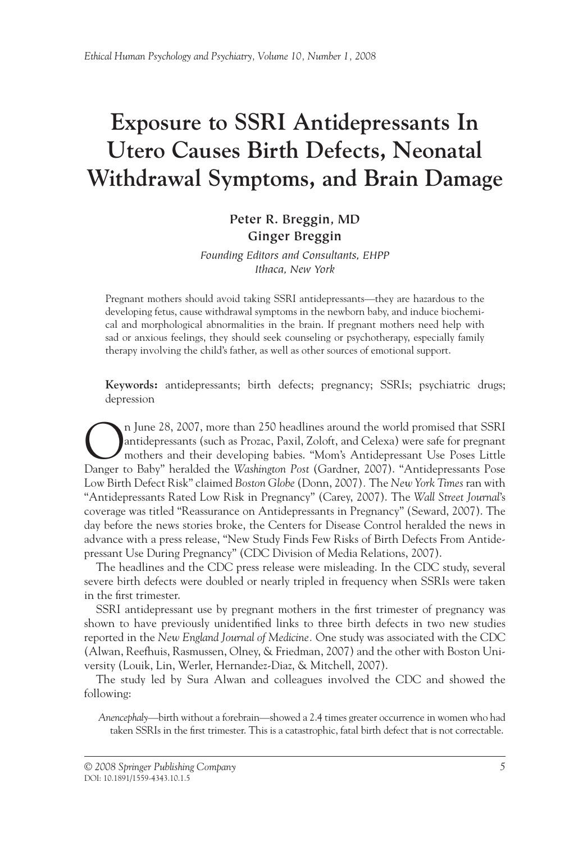## **Exposure to SSRI Antidepressants In Utero Causes Birth Defects, Neonatal Withdrawal Symptoms, and Brain Damage**

**Peter R. Breggin, MD Ginger Breggin** 

*Founding Editors and Consultants, EHPP Ithaca, New York*

 Pregnant mothers should avoid taking SSRI antidepressants—they are hazardous to the developing fetus, cause withdrawal symptoms in the newborn baby, and induce biochemical and morphological abnormalities in the brain. If pregnant mothers need help with sad or anxious feelings, they should seek counseling or psychotherapy, especially family therapy involving the child's father, as well as other sources of emotional support.

**Keywords:** antidepressants; birth defects; pregnancy; SSRIs; psychiatric drugs; depression

n June 28, 2007, more than 250 headlines around the world promised that SSRI<br>antidepressants (such as Prozac, Paxil, Zoloft, and Celexa) were safe for pregnant<br>mothers and their developing babies. "Mom's Antidepressant Use antidepressants (such as Prozac, Paxil, Zoloft, and Celexa) were safe for pregnant Danger to Baby" heralded the *Washington Post* (Gardner, 2007)."Antidepressants Pose Low Birth Defect Risk" claimed *Boston Globe* (Donn, 2007)*.* The *New York Times* ran with "Antidepressants Rated Low Risk in Pregnancy" (Carey, 2007). The *Wall Street Journal* 's coverage was titled "Reassurance on Antidepressants in Pregnancy" (Seward, 2007). The day before the news stories broke, the Centers for Disease Control heralded the news in advance with a press release, "New Study Finds Few Risks of Birth Defects From Antidepressant Use During Pregnancy" (CDC Division of Media Relations, 2007).

 The headlines and the CDC press release were misleading. In the CDC study, several severe birth defects were doubled or nearly tripled in frequency when SSRIs were taken in the first trimester.

SSRI antidepressant use by pregnant mothers in the first trimester of pregnancy was shown to have previously unidentified links to three birth defects in two new studies reported in the *New England Journal of Medicine.* One study was associated with the CDC (Alwan, Reefhuis, Rasmussen, Olney, & Friedman, 2007) and the other with Boston University (Louik, Lin, Werler, Hernandez-Diaz, & Mitchell, 2007).

 The study led by Sura Alwan and colleagues involved the CDC and showed the following:

*Anencephaly* —birth without a forebrain—showed a 2.4 times greater occurrence in women who had taken SSRIs in the first trimester. This is a catastrophic, fatal birth defect that is not correctable.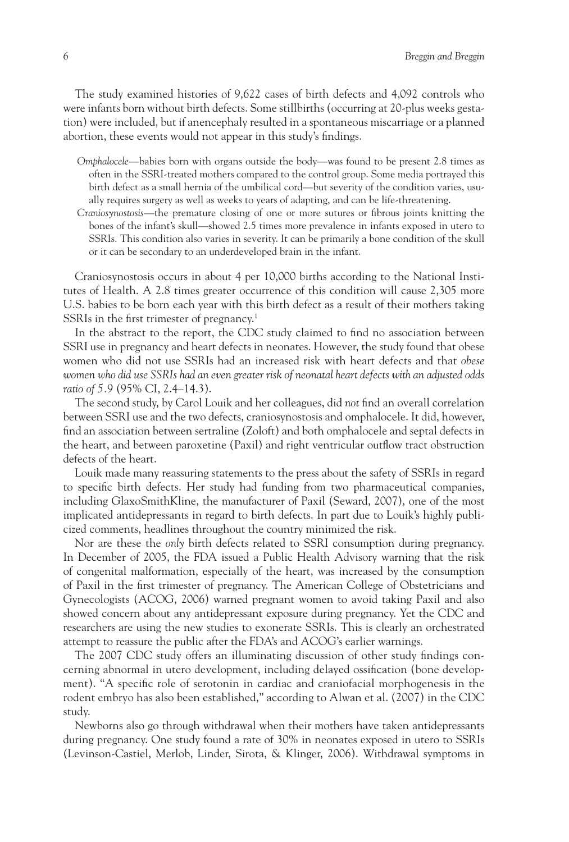The study examined histories of 9,622 cases of birth defects and 4,092 controls who were infants born without birth defects. Some stillbirths (occurring at 20-plus weeks gestation) were included, but if anencephaly resulted in a spontaneous miscarriage or a planned abortion, these events would not appear in this study's findings.

- *Omphalocele* —babies born with organs outside the body—was found to be present 2.8 times as often in the SSRI-treated mothers compared to the control group. Some media portrayed this birth defect as a small hernia of the umbilical cord—but severity of the condition varies, usually requires surgery as well as weeks to years of adapting, and can be life-threatening.
- *Craniosynostosis*—the premature closing of one or more sutures or fibrous joints knitting the bones of the infant's skull—showed 2.5 times more prevalence in infants exposed in utero to SSRIs. This condition also varies in severity. It can be primarily a bone condition of the skull or it can be secondary to an underdeveloped brain in the infant.

 Craniosynostosis occurs in about 4 per 10,000 births according to the National Institutes of Health. A 2.8 times greater occurrence of this condition will cause 2,305 more U.S. babies to be born each year with this birth defect as a result of their mothers taking SSRIs in the first trimester of pregnancy.<sup>1</sup>

In the abstract to the report, the CDC study claimed to find no association between SSRI use in pregnancy and heart defects in neonates. However, the study found that obese women who did not use SSRIs had an increased risk with heart defects and that *obese women who did use SSRIs had an even greater risk of neonatal heart defects with an adjusted odds ratio of 5.9* (95% CI, 2.4–14.3).

The second study, by Carol Louik and her colleagues, did *not* find an overall correlation between SSRI use and the two defects, craniosynostosis and omphalocele. It did, however, find an association between sertraline (Zoloft) and both omphalocele and septal defects in the heart, and between paroxetine (Paxil) and right ventricular outflow tract obstruction defects of the heart.

 Louik made many reassuring statements to the press about the safety of SSRIs in regard to specific birth defects. Her study had funding from two pharmaceutical companies, including GlaxoSmithKline, the manufacturer of Paxil (Seward, 2007), one of the most implicated antidepressants in regard to birth defects. In part due to Louik's highly publicized comments, headlines throughout the country minimized the risk.

 Nor are these the *only* birth defects related to SSRI consumption during pregnancy. In December of 2005, the FDA issued a Public Health Advisory warning that the risk of congenital malformation, especially of the heart, was increased by the consumption of Paxil in the first trimester of pregnancy. The American College of Obstetricians and Gynecologists (ACOG, 2006) warned pregnant women to avoid taking Paxil and also showed concern about any antidepressant exposure during pregnancy. Yet the CDC and researchers are using the new studies to exonerate SSRIs. This is clearly an orchestrated attempt to reassure the public after the FDA's and ACOG's earlier warnings.

The 2007 CDC study offers an illuminating discussion of other study findings concerning abnormal in utero development, including delayed ossification (bone development). "A specific role of serotonin in cardiac and craniofacial morphogenesis in the rodent embryo has also been established," according to Alwan et al. (2007) in the CDC study.

 Newborns also go through withdrawal when their mothers have taken antidepressants during pregnancy. One study found a rate of 30% in neonates exposed in utero to SSRIs (Levinson -Castiel, Merlob, Linder, Sirota, & Klinger, 2006). Withdrawal symptoms in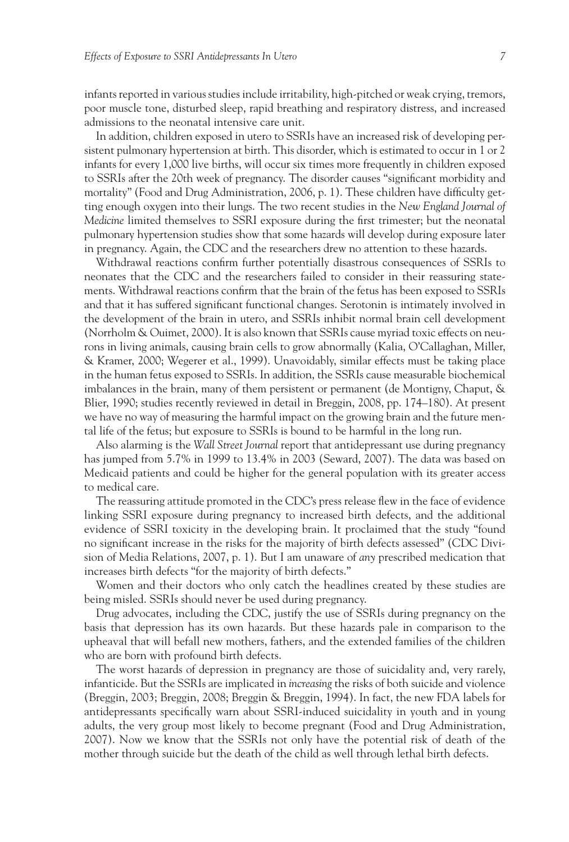infants reported in various studies include irritability, high-pitched or weak crying, tremors, poor muscle tone, disturbed sleep, rapid breathing and respiratory distress, and increased admissions to the neonatal intensive care unit.

 In addition, children exposed in utero to SSRIs have an increased risk of developing persistent pulmonary hypertension at birth. This disorder, which is estimated to occur in 1 or 2 infants for every 1,000 live births, will occur six times more frequently in children exposed to SSRIs after the 20th week of pregnancy. The disorder causes "significant morbidity and mortality" (Food and Drug Administration, 2006, p. 1). These children have difficulty getting enough oxygen into their lungs. The two recent studies in the *New England Journal of Medicine* limited themselves to SSRI exposure during the first trimester; but the neonatal pulmonary hypertension studies show that some hazards will develop during exposure later in pregnancy. Again, the CDC and the researchers drew no attention to these hazards.

Withdrawal reactions confirm further potentially disastrous consequences of SSRIs to neonates that the CDC and the researchers failed to consider in their reassuring statements. Withdrawal reactions confirm that the brain of the fetus has been exposed to SSRIs and that it has suffered significant functional changes. Serotonin is intimately involved in the development of the brain in utero, and SSRIs inhibit normal brain cell development (Norrholm & Ouimet, 2000). It is also known that SSRIs cause myriad toxic effects on neurons in living animals, causing brain cells to grow abnormally (Kalia, O'Callaghan, Miller, & Kramer, 2000; Wegerer et al., 1999). Unavoidably, similar effects must be taking place in the human fetus exposed to SSRIs. In addition, the SSRIs cause measurable biochemical imbalances in the brain, many of them persistent or permanent (de Montigny, Chaput, & Blier, 1990; studies recently reviewed in detail in Breggin, 2008, pp. 174–180). At present we have no way of measuring the harmful impact on the growing brain and the future mental life of the fetus; but exposure to SSRIs is bound to be harmful in the long run.

 Also alarming is the *Wall Street Journal* report that antidepressant use during pregnancy has jumped from 5.7% in 1999 to 13.4% in 2003 (Seward, 2007). The data was based on Medicaid patients and could be higher for the general population with its greater access to medical care.

The reassuring attitude promoted in the CDC's press release flew in the face of evidence linking SSRI exposure during pregnancy to increased birth defects, and the additional evidence of SSRI toxicity in the developing brain. It proclaimed that the study "found no significant increase in the risks for the majority of birth defects assessed" (CDC Division of Media Relations, 2007, p. 1). But I am unaware of *any* prescribed medication that increases birth defects "for the majority of birth defects."

 Women and their doctors who only catch the headlines created by these studies are being misled. SSRIs should never be used during pregnancy.

 Drug advocates, including the CDC, justify the use of SSRIs during pregnancy on the basis that depression has its own hazards. But these hazards pale in comparison to the upheaval that will befall new mothers, fathers, and the extended families of the children who are born with profound birth defects.

 The worst hazards of depression in pregnancy are those of suicidality and, very rarely, infanticide. But the SSRIs are implicated in *increasing* the risks of both suicide and violence (Breggin, 2003; Breggin, 2008; Breggin & Breggin, 1994). In fact, the new FDA labels for antidepressants specifically warn about SSRI-induced suicidality in youth and in young adults, the very group most likely to become pregnant (Food and Drug Administration, 2007). Now we know that the SSRIs not only have the potential risk of death of the mother through suicide but the death of the child as well through lethal birth defects.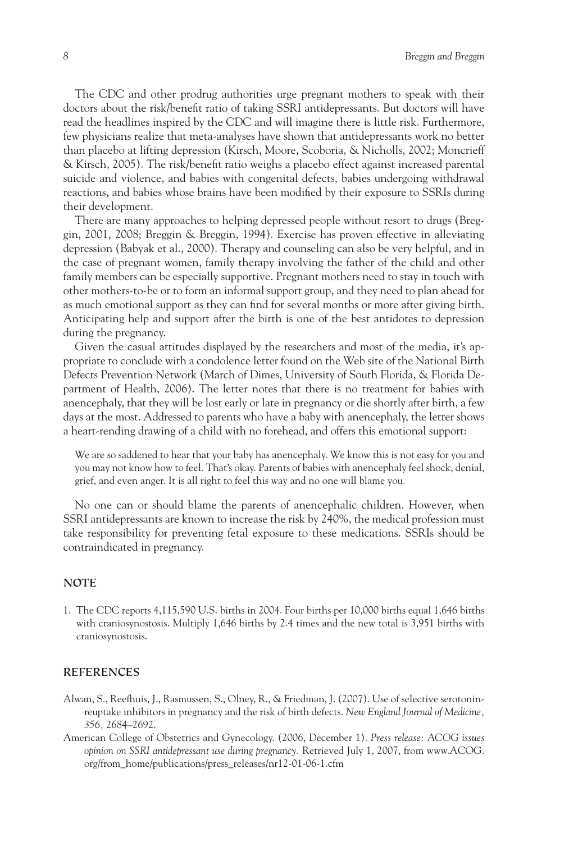The CDC and other prodrug authorities urge pregnant mothers to speak with their doctors about the risk/benefit ratio of taking SSRI antidepressants. But doctors will have read the headlines inspired by the CDC and will imagine there is little risk. Furthermore, few physicians realize that meta-analyses have shown that antidepressants work no better than placebo at lifting depression (Kirsch, Moore, Scoboria, & Nicholls, 2002; Moncrieff & Kirsch, 2005). The risk/benefi t ratio weighs a placebo effect against increased parental suicide and violence, and babies with congenital defects, babies undergoing withdrawal reactions, and babies whose brains have been modified by their exposure to SSRIs during their development.

 There are many approaches to helping depressed people without resort to drugs (Breggin, 2001, 2008; Breggin & Breggin, 1994). Exercise has proven effective in alleviating depression (Babyak et al., 2000). Therapy and counseling can also be very helpful, and in the case of pregnant women, family therapy involving the father of the child and other family members can be especially supportive. Pregnant mothers need to stay in touch with other mothers-to-be or to form an informal support group, and they need to plan ahead for as much emotional support as they can find for several months or more after giving birth. Anticipating help and support after the birth is one of the best antidotes to depression during the pregnancy.

 Given the casual attitudes displayed by the researchers and most of the media, it's appropriate to conclude with a condolence letter found on the Web site of the National Birth Defects Prevention Network (March of Dimes, University of South Florida, & Florida Department of Health, 2006). The letter notes that there is no treatment for babies with anencephaly, that they will be lost early or late in pregnancy or die shortly after birth, a few days at the most. Addressed to parents who have a baby with anencephaly, the letter shows a heart-rending drawing of a child with no forehead, and offers this emotional support:

 We are so saddened to hear that your baby has anencephaly. We know this is not easy for you and you may not know how to feel. That's okay. Parents of babies with anencephaly feel shock, denial, grief, and even anger. It is all right to feel this way and no one will blame you.

 No one can or should blame the parents of anencephalic children. However, when SSRI antidepressants are known to increase the risk by 240%, the medical profession must take responsibility for preventing fetal exposure to these medications. SSRIs should be contraindicated in pregnancy.

## **NOTE**

 1. The CDC reports 4,115,590 U.S. births in 2004. Four births per 10,000 births equal 1,646 births with craniosynostosis. Multiply 1,646 births by 2.4 times and the new total is 3,951 births with craniosynostosis .

## **REFERENCES**

- Alwan, S., Reefhuis, J., Rasmussen, S., Olney, R., & Friedman, J. (2007). Use of selective serotoninreuptake inhibitors in pregnancy and the risk of birth defects. *New England Journal of Medicine, 356,* 2684–2692.
- American College of Obstetrics and Gynecology. (2006, December 1). *Press release: ACOG issues opinion on SSRI antidepressant use during pregnancy.* Retrieved July 1, 2007, from www.ACOG. org /from\_home/publications/press\_releases/nr12-01-06-1.cfm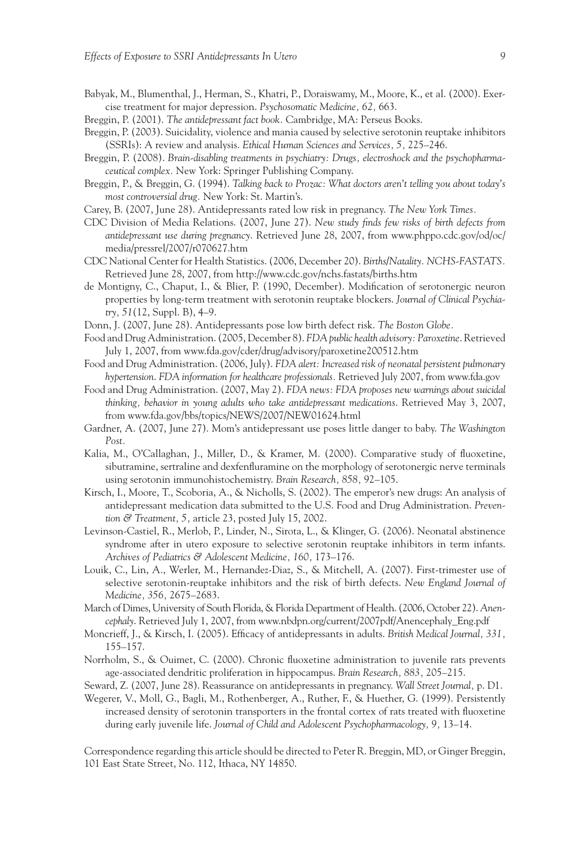- Babyak, M., Blumenthal, J., Herman, S., Khatri, P., Doraiswamy, M., Moore, K., et al. (2000). Exercise treatment for major depression. *Psychosomatic Medicine, 62,* 663 .
- Breggin, P. (2001). *The antidepressant fact book.* Cambridge, MA: Perseus Books.
- Breggin, P. (2003 ). Suicidality, violence and mania caused by selective serotonin reuptake inhibitors (SSRIs): A review and analysis. *Ethical Human Sciences and Services, 5,* 225–246.
- Breggin, P. (2008). *Brain-disabling treatments in psychiatry: Drugs, electroshock and the psychopharmaceutical complex.* New York: Springer Publishing Company.
- Breggin, P., & Breggin, G. (1994). *Talking back to Prozac: What doctors aren't telling you about today's most controversial drug.* New York: St. Martin's.
- Carey, B. (2007, June 28). Antidepressants rated low risk in pregnancy. *The New York Times.*
- CDC Division of Media Relations. (2007, June 27). *New study finds few risks of birth defects from antidepressant use during pregnancy* . Retrieved June 28, 2007, from www.phppo.cdc.gov /od/oc/ media/pressrel/2007/r070627.htm
- CDC National Center for Health Statistics. (2006, December 20). *Births/Natality. NCHS-FASTATS.* Retrieved June 28, 2007, from http://www.cdc.gov/nchs.fastats/births.htm
- de Montigny, C., Chaput, I., & Blier, P. (1990, December). Modification of serotonergic neuron properties by long-term treatment with serotonin reuptake blockers. *Journal of Clinical Psychiatry, 51* (12, Suppl. B), 4–9.
- Donn, J. (2007, June 28). Antidepressants pose low birth defect risk. *The Boston Globe.*
- Food and Drug Administration. (2005, December 8). *FDA public health advisory: Paroxetine* . Retrieved July 1, 2007, from www.fda.gov /cder/drug/advisory/paroxetine200512.htm
- Food and Drug Administration. (2006, July). *FDA alert: Increased risk of neonatal persistent pulmonary hypertension* . *FDA information for healthcare professionals.* Retrieved July 2007, from www.fda.gov
- Food and Drug Administration. (2007, May 2). *FDA news: FDA proposes new warnings about suicidal thinking, behavior in young adults who take antidepressant medications* . Retrieved May 3, 2007, from www.fda.gov/bbs/topics/NEWS/2007/NEW01624.html
- Gardner, A. (2007, June 27). Mom's antidepressant use poses little danger to baby. *The Washington Post.*
- Kalia, M., O'Callaghan, J., Miller, D., & Kramer, M. (2000). Comparative study of fluoxetine, sibutramine, sertraline and dexfenfluramine on the morphology of serotonergic nerve terminals using serotonin immunohistochemistry. *Brain Research, 858,* 92–105.
- Kirsch, I., Moore, T., Scoboria, A., & Nicholls, S. (2002). The emperor's new drugs: An analysis of antidepressant medication data submitted to the U.S. Food and Drug Administration. *Prevention & Treatment, 5,* article 23, posted July 15, 2002.
- Levinson-Castiel, R., Merlob, P., Linder, N., Sirota, L., & Klinger, G. (2006). Neonatal abstinence syndrome after in utero exposure to selective serotonin reuptake inhibitors in term infants. *Archives of Pediatrics & Adolescent Medicine, 160,* 173–176.
- Louik, C., Lin, A., Werler, M., Hernandez-Diaz, S., & Mitchell, A. (2007). First-trimester use of selective serotonin-reuptake inhibitors and the risk of birth defects. *New England Journal of Medicine, 356,* 2675–2683.
- March of Dimes, University of South Florida, & Florida Department of Health. (2006, October 22). *Anencephaly* . Retrieved July 1, 2007, from www.nbdpn.org/current/2007pdf/Anencephaly\_Eng.pdf
- Moncrieff, J., & Kirsch, I. (2005). Efficacy of antidepressants in adults. *British Medical Journal*, 331, 155–157.
- Norrholm, S., & Ouimet, C. (2000). Chronic fluoxetine administration to juvenile rats prevents age-associated dendritic proliferation in hippocampus. *Brain Research, 883,* 205–215.
- Seward, Z. (2007, June 28). Reassurance on antidepressants in pregnancy. *Wall Street Journal,* p. D1.
- Wegerer, V., Moll, G., Bagli, M., Rothenberger, A., Ruther, F., & Huether, G. (1999). Persistently increased density of serotonin transporters in the frontal cortex of rats treated with fluoxetine during early juvenile life. *Journal of Child and Adolescent Psychopharmacology, 9,* 13–14.

 Correspondence regarding this article should be directed to Peter R. Breggin, MD, or Ginger Breggin, 101 East State Street, No. 112, Ithaca, NY 14850.